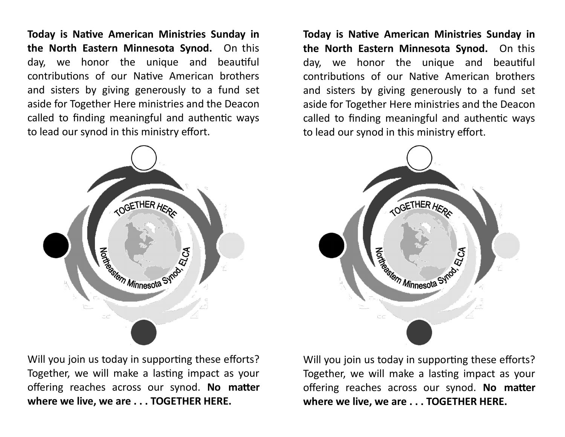**Today is Native American Ministries Sunday in the North Eastern Minnesota Synod.** On this day, we honor the unique and beautiful contributions of our Native American brothers and sisters by giving generously to a fund set aside for Together Here ministries and the Deacon called to finding meaningful and authentic ways to lead our synod in this ministry effort.



Will you join us today in supporting these efforts? Together, we will make a lasting impact as your offering reaches across our synod. **No matter where we live, we are . . . TOGETHER HERE.** 

**Today is Native American Ministries Sunday in the North Eastern Minnesota Synod.** On this day, we honor the unique and beautiful contributions of our Native American brothers and sisters by giving generously to a fund set aside for Together Here ministries and the Deacon called to finding meaningful and authentic ways to lead our synod in this ministry effort.



Will you join us today in supporting these efforts? Together, we will make a lasting impact as your offering reaches across our synod. **No matter where we live, we are . . . TOGETHER HERE.**